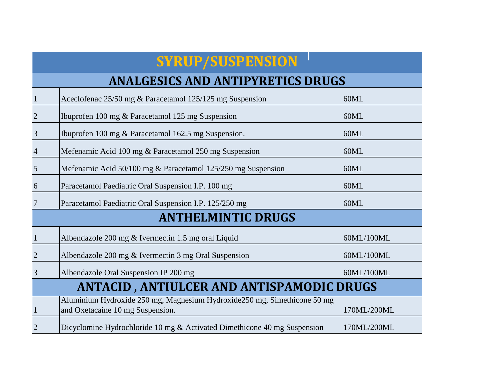## **ANALGESICS AND ANTIPYRETICS DRUGS**

| $\overline{1}$                                   | Aceclofenac 25/50 mg & Paracetamol 125/125 mg Suspension                                                      | 60ML        |
|--------------------------------------------------|---------------------------------------------------------------------------------------------------------------|-------------|
| $\overline{2}$                                   | Ibuprofen 100 mg & Paracetamol 125 mg Suspension                                                              | 60ML        |
| $\mathfrak{Z}$                                   | Ibuprofen 100 mg & Paracetamol 162.5 mg Suspension.                                                           | 60ML        |
| $\overline{4}$                                   | Mefenamic Acid 100 mg & Paracetamol 250 mg Suspension                                                         | 60ML        |
| $\overline{5}$                                   | Mefenamic Acid 50/100 mg & Paracetamol 125/250 mg Suspension                                                  | 60ML        |
| 6                                                | Paracetamol Paediatric Oral Suspension I.P. 100 mg                                                            | 60ML        |
| $7\phantom{.0}$                                  | Paracetamol Paediatric Oral Suspension I.P. 125/250 mg                                                        | 60ML        |
|                                                  | <b>ANTHELMINTIC DRUGS</b>                                                                                     |             |
| $\mathbf{1}$                                     | Albendazole 200 mg & Ivermectin 1.5 mg oral Liquid                                                            | 60ML/100ML  |
| $\overline{2}$                                   | Albendazole 200 mg & Ivermectin 3 mg Oral Suspension                                                          | 60ML/100ML  |
| $\overline{3}$                                   | Albendazole Oral Suspension IP 200 mg                                                                         | 60ML/100ML  |
| <b>ANTACID, ANTIULCER AND ANTISPAMODIC DRUGS</b> |                                                                                                               |             |
| $\mathbf{1}$                                     | Aluminium Hydroxide 250 mg, Magnesium Hydroxide 250 mg, Simethicone 50 mg<br>and Oxetacaine 10 mg Suspension. | 170ML/200ML |
| 2                                                | Dicyclomine Hydrochloride 10 mg & Activated Dimethicone 40 mg Suspension                                      | 170ML/200ML |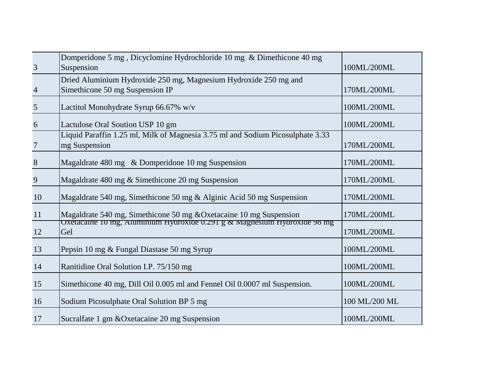|                | Domperidone 5 mg, Dicyclomine Hydrochloride 10 mg & Dimethicone 40 mg                                 |               |
|----------------|-------------------------------------------------------------------------------------------------------|---------------|
| $\overline{3}$ | Suspension                                                                                            | 100ML/200ML   |
|                | Dried Aluminium Hydroxide 250 mg, Magnesium Hydroxide 250 mg and                                      |               |
| $\overline{4}$ | Simethicone 50 mg Suspension IP                                                                       | 170ML/200ML   |
| $\overline{5}$ | Lactitol Monohydrate Syrup 66.67% w/v                                                                 | 100ML/200ML   |
|                |                                                                                                       |               |
| 6              | Lactulose Oral Soution USP 10 gm                                                                      | 100ML/200ML   |
|                | Liquid Paraffin 1.25 ml, Milk of Magnesia 3.75 ml and Sodium Picosulphate 3.33                        |               |
| $\overline{7}$ | mg Suspension                                                                                         | 170ML/200ML   |
| $\bf 8$        | Magaldrate 480 mg & Domperidone 10 mg Suspension                                                      | 170ML/200ML   |
|                |                                                                                                       |               |
| 9              | Magaldrate 480 mg & Simethicone 20 mg Suspension                                                      | 170ML/200ML   |
| 10             | Magaldrate 540 mg, Simethicone 50 mg & Alginic Acid 50 mg Suspension                                  | 170ML/200ML   |
| 11             | Magaldrate 540 mg, Simethicone 50 mg & Oxetacaine 10 mg Suspension                                    | 170ML/200ML   |
|                | $\overline{\text{Oxe}}$ tacaine TU mg, Aluminium Hydroxide 0.291 g $\alpha$ Magnesium Hydroxide 98 mg |               |
| 12             | Gel                                                                                                   | 170ML/200ML   |
| 13             | Pepsin 10 mg & Fungal Diastase 50 mg Syrup                                                            | 100ML/200ML   |
| 14             | Ranitidine Oral Solution I.P. 75/150 mg                                                               | 100ML/200ML   |
| 15             | Simethicone 40 mg, Dill Oil 0.005 ml and Fennel Oil 0.0007 ml Suspension.                             | 100ML/200ML   |
|                |                                                                                                       |               |
| 16             | Sodium Picosulphate Oral Solution BP 5 mg                                                             | 100 ML/200 ML |
| 17             | Sucralfate 1 gm & Oxetacaine 20 mg Suspension                                                         | 100ML/200ML   |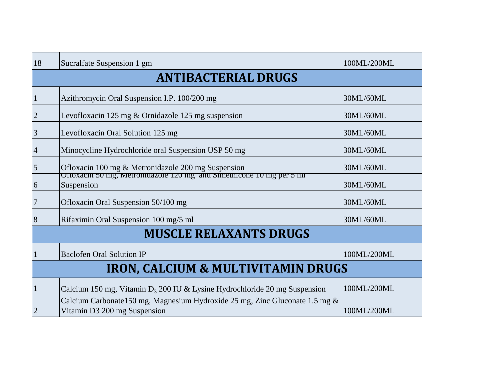| 18                                            | Sucralfate Suspension 1 gm                                                                                                 | 100ML/200ML |
|-----------------------------------------------|----------------------------------------------------------------------------------------------------------------------------|-------------|
| <b>ANTIBACTERIAL DRUGS</b>                    |                                                                                                                            |             |
| $\mathbf{1}$                                  | Azithromycin Oral Suspension I.P. 100/200 mg                                                                               | 30ML/60ML   |
| $\sqrt{2}$                                    | Levofloxacin 125 mg & Ornidazole 125 mg suspension                                                                         | 30ML/60ML   |
| $\mathfrak{Z}$                                | Levofloxacin Oral Solution 125 mg                                                                                          | 30ML/60ML   |
| $\overline{4}$                                | Minocycline Hydrochloride oral Suspension USP 50 mg                                                                        | 30ML/60ML   |
| $\sqrt{5}$                                    | Ofloxacin 100 mg & Metronidazole 200 mg Suspension<br>UTIOXacin 50 mg, Metronidazole 120 mg and Simethicone 10 mg per 5 mi | 30ML/60ML   |
| $\boldsymbol{6}$                              | Suspension                                                                                                                 | 30ML/60ML   |
| $\sqrt{ }$                                    | Ofloxacin Oral Suspension 50/100 mg                                                                                        | 30ML/60ML   |
| $8\,$                                         | Rifaximin Oral Suspension 100 mg/5 ml                                                                                      | 30ML/60ML   |
| <b>MUSCLE RELAXANTS DRUGS</b>                 |                                                                                                                            |             |
| $\mathbf{1}$                                  | <b>Baclofen Oral Solution IP</b>                                                                                           | 100ML/200ML |
| <b>IRON, CALCIUM &amp; MULTIVITAMIN DRUGS</b> |                                                                                                                            |             |
| $\mathbf{1}$                                  | Calcium 150 mg, Vitamin $D_3$ 200 IU & Lysine Hydrochloride 20 mg Suspension                                               | 100ML/200ML |
| $\overline{2}$                                | Calcium Carbonate150 mg, Magnesium Hydroxide 25 mg, Zinc Gluconate 1.5 mg &<br>Vitamin D3 200 mg Suspension                | 100ML/200ML |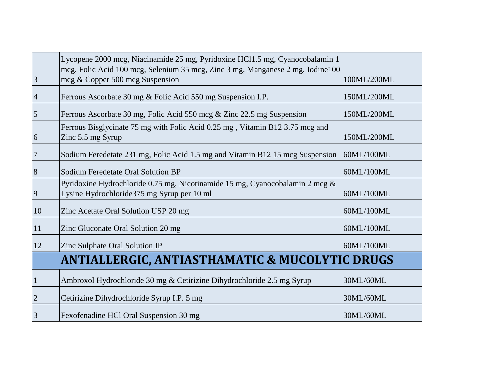|                 | Lycopene 2000 mcg, Niacinamide 25 mg, Pyridoxine HCl1.5 mg, Cyanocobalamin 1<br>mcg, Folic Acid 100 mcg, Selenium 35 mcg, Zinc 3 mg, Manganese 2 mg, Iodine 100<br>mcg & Copper 500 mcg Suspension | 100ML/200ML |
|-----------------|----------------------------------------------------------------------------------------------------------------------------------------------------------------------------------------------------|-------------|
| $\mathfrak{Z}$  |                                                                                                                                                                                                    |             |
| $\overline{4}$  | Ferrous Ascorbate 30 mg & Folic Acid 550 mg Suspension I.P.                                                                                                                                        | 150ML/200ML |
| 5               | Ferrous Ascorbate 30 mg, Folic Acid 550 mcg & Zinc 22.5 mg Suspension                                                                                                                              | 150ML/200ML |
| 6               | Ferrous Bisglycinate 75 mg with Folic Acid 0.25 mg, Vitamin B12 3.75 mcg and<br>Zinc 5.5 mg Syrup                                                                                                  | 150ML/200ML |
| $7\phantom{.0}$ | Sodium Feredetate 231 mg, Folic Acid 1.5 mg and Vitamin B12 15 mcg Suspension                                                                                                                      | 60ML/100ML  |
| 8               | Sodium Feredetate Oral Solution BP                                                                                                                                                                 | 60ML/100ML  |
| 9               | Pyridoxine Hydrochloride 0.75 mg, Nicotinamide 15 mg, Cyanocobalamin 2 mcg &<br>Lysine Hydrochloride 375 mg Syrup per 10 ml                                                                        | 60ML/100ML  |
| 10              | Zinc Acetate Oral Solution USP 20 mg                                                                                                                                                               | 60ML/100ML  |
| 11              | Zinc Gluconate Oral Solution 20 mg                                                                                                                                                                 | 60ML/100ML  |
| 12              | Zinc Sulphate Oral Solution IP                                                                                                                                                                     | 60ML/100ML  |
|                 | <b>ANTIALLERGIC, ANTIASTHAMATIC &amp; MUCOLYTIC DRUGS</b>                                                                                                                                          |             |
| $\mathbf{1}$    | Ambroxol Hydrochloride 30 mg & Cetirizine Dihydrochloride 2.5 mg Syrup                                                                                                                             | 30ML/60ML   |
| $\overline{2}$  | Cetirizine Dihydrochloride Syrup I.P. 5 mg                                                                                                                                                         | 30ML/60ML   |
| 3               | Fexofenadine HCl Oral Suspension 30 mg                                                                                                                                                             | 30ML/60ML   |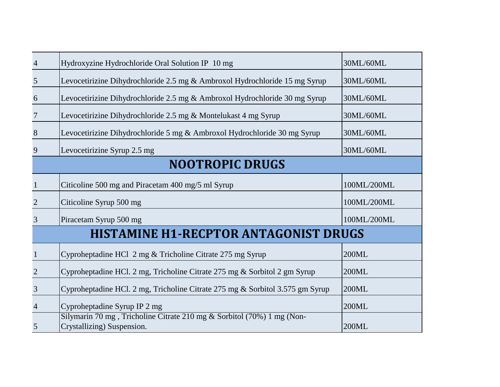| $\overline{4}$  | Hydroxyzine Hydrochloride Oral Solution IP 10 mg                                                     | 30ML/60ML   |
|-----------------|------------------------------------------------------------------------------------------------------|-------------|
| $5\overline{)}$ | Levocetirizine Dihydrochloride 2.5 mg & Ambroxol Hydrochloride 15 mg Syrup                           | 30ML/60ML   |
| 6               | Levocetirizine Dihydrochloride 2.5 mg & Ambroxol Hydrochloride 30 mg Syrup                           | 30ML/60ML   |
| $7\phantom{.0}$ | Levocetirizine Dihydrochloride 2.5 mg & Montelukast 4 mg Syrup                                       | 30ML/60ML   |
| 8               | Levocetirizine Dihydrochloride 5 mg & Ambroxol Hydrochloride 30 mg Syrup                             | 30ML/60ML   |
| 9               | Levocetirizine Syrup 2.5 mg                                                                          | 30ML/60ML   |
|                 | <b>NOOTROPIC DRUGS</b>                                                                               |             |
| $\mathbf{1}$    | Citicoline 500 mg and Piracetam 400 mg/5 ml Syrup                                                    | 100ML/200ML |
| $\overline{2}$  | Citicoline Syrup 500 mg                                                                              | 100ML/200ML |
| $\mathfrak{Z}$  | Piracetam Syrup 500 mg                                                                               | 100ML/200ML |
|                 | <b>HISTAMINE H1-RECPTOR ANTAGONIST DRUGS</b>                                                         |             |
| $\mathbf{1}$    | Cyproheptadine HCl 2 mg & Tricholine Citrate 275 mg Syrup                                            | 200ML       |
| $\overline{2}$  | Cyproheptadine HCl. 2 mg, Tricholine Citrate 275 mg & Sorbitol 2 gm Syrup                            | 200ML       |
| $\mathfrak{Z}$  | Cyproheptadine HCl. 2 mg, Tricholine Citrate 275 mg & Sorbitol 3.575 gm Syrup                        | 200ML       |
| $\overline{4}$  | Cyproheptadine Syrup IP 2 mg                                                                         | 200ML       |
| 5               | Silymarin 70 mg, Tricholine Citrate 210 mg & Sorbitol (70%) 1 mg (Non-<br>Crystallizing) Suspension. | 200ML       |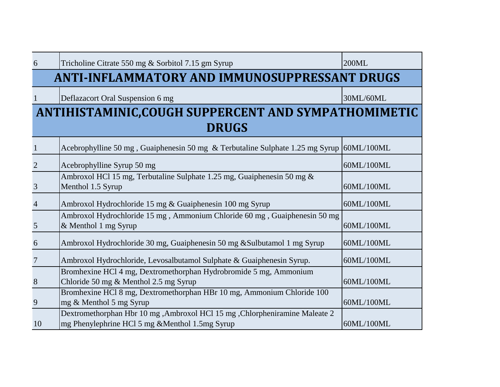| 6               | Tricholine Citrate 550 mg & Sorbitol 7.15 gm Syrup                                                                            | 200ML      |
|-----------------|-------------------------------------------------------------------------------------------------------------------------------|------------|
|                 | <b>ANTI-INFLAMMATORY AND IMMUNOSUPPRESSANT DRUGS</b>                                                                          |            |
|                 | Deflazacort Oral Suspension 6 mg                                                                                              | 30ML/60ML  |
|                 | ANTIHISTAMINIC, COUGH SUPPERCENT AND SYMPATHOMIMETIC                                                                          |            |
| <b>DRUGS</b>    |                                                                                                                               |            |
| $\mathbf{1}$    | Acebrophylline 50 mg, Guaiphenesin 50 mg & Terbutaline Sulphate 1.25 mg Syrup 60ML/100ML                                      |            |
| $\overline{2}$  | Acebrophylline Syrup 50 mg                                                                                                    | 60ML/100ML |
| 3               | Ambroxol HCl 15 mg, Terbutaline Sulphate 1.25 mg, Guaiphenesin 50 mg &<br>Menthol 1.5 Syrup                                   | 60ML/100ML |
| $\overline{4}$  | Ambroxol Hydrochloride 15 mg & Guaiphenesin 100 mg Syrup                                                                      | 60ML/100ML |
| 5               | Ambroxol Hydrochloride 15 mg, Ammonium Chloride 60 mg, Guaiphenesin 50 mg<br>& Menthol 1 mg Syrup                             | 60ML/100ML |
| 6               | Ambroxol Hydrochloride 30 mg, Guaiphenesin 50 mg & Sulbutamol 1 mg Syrup                                                      | 60ML/100ML |
| $7\phantom{.0}$ | Ambroxol Hydrochloride, Levosalbutamol Sulphate & Guaiphenesin Syrup.                                                         | 60ML/100ML |
| 8               | Bromhexine HCl 4 mg, Dextromethorphan Hydrobromide 5 mg, Ammonium<br>Chloride 50 mg & Menthol 2.5 mg Syrup                    | 60ML/100ML |
| 9               | Bromhexine HCl 8 mg, Dextromethorphan HBr 10 mg, Ammonium Chloride 100<br>mg & Menthol 5 mg Syrup                             | 60ML/100ML |
| 10              | Dextromethorphan Hbr 10 mg, Ambroxol HCl 15 mg, Chlorpheniramine Maleate 2<br>mg Phenylephrine HCl 5 mg & Menthol 1.5mg Syrup | 60ML/100ML |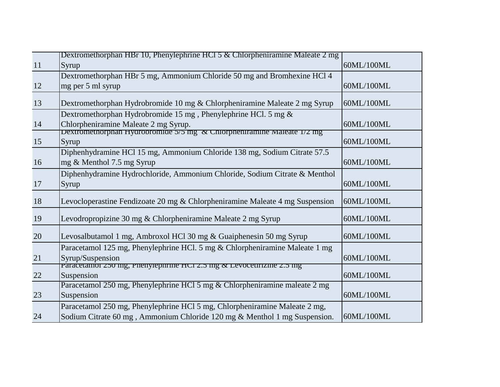|    | Dextromethorphan HBr 10, Phenylephrine HCl 5 & Chlorpheniramine Maleate 2 mg                    |            |
|----|-------------------------------------------------------------------------------------------------|------------|
| 11 | Syrup                                                                                           | 60ML/100ML |
|    | Dextromethorphan HBr 5 mg, Ammonium Chloride 50 mg and Bromhexine HCl 4                         |            |
| 12 | mg per 5 ml syrup                                                                               | 60ML/100ML |
| 13 | Dextromethorphan Hydrobromide 10 mg & Chlorpheniramine Maleate 2 mg Syrup                       | 60ML/100ML |
|    | Dextromethorphan Hydrobromide 15 mg, Phenylephrine HCl. 5 mg $\&$                               |            |
| 14 | Chlorpheniramine Maleate 2 mg Syrup.                                                            | 60ML/100ML |
|    | <b>Dextromethorphan Hydropromide 5/5 mg <math>\alpha</math> Chiorpheniramine Maleate 1/2 mg</b> |            |
| 15 | Syrup                                                                                           | 60ML/100ML |
|    | Diphenhydramine HCl 15 mg, Ammonium Chloride 138 mg, Sodium Citrate 57.5                        |            |
| 16 | mg & Menthol 7.5 mg Syrup                                                                       | 60ML/100ML |
|    | Diphenhydramine Hydrochloride, Ammonium Chloride, Sodium Citrate & Menthol                      |            |
| 17 | Syrup                                                                                           | 60ML/100ML |
| 18 | Levocloperastine Fendizoate 20 mg & Chlorpheniramine Maleate 4 mg Suspension                    | 60ML/100ML |
| 19 | Levodropropizine 30 mg & Chlorpheniramine Maleate 2 mg Syrup                                    | 60ML/100ML |
| 20 | Levosalbutamol 1 mg, Ambroxol HCl 30 mg & Guaiphenesin 50 mg Syrup                              | 60ML/100ML |
|    | Paracetamol 125 mg, Phenylephrine HCl. 5 mg & Chlorpheniramine Maleate 1 mg                     |            |
| 21 | Syrup/Suspension                                                                                | 60ML/100ML |
|    | <b>Paracetamol 250 mg, Phenylephrine HCI 2.5 mg &amp; Levocetirizine 2.5 mg</b>                 |            |
| 22 | Suspension                                                                                      | 60ML/100ML |
|    | Paracetamol 250 mg, Phenylephrine HCl 5 mg & Chlorpheniramine maleate 2 mg                      |            |
| 23 | Suspension                                                                                      | 60ML/100ML |
|    | Paracetamol 250 mg, Phenylephrine HCl 5 mg, Chlorpheniramine Maleate 2 mg,                      |            |
| 24 | Sodium Citrate 60 mg, Ammonium Chloride 120 mg & Menthol 1 mg Suspension.                       | 60ML/100ML |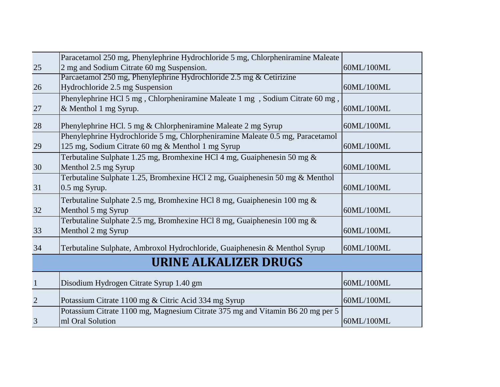|                | Paracetamol 250 mg, Phenylephrine Hydrochloride 5 mg, Chlorpheniramine Maleate |            |
|----------------|--------------------------------------------------------------------------------|------------|
| 25             | 2 mg and Sodium Citrate 60 mg Suspension.                                      | 60ML/100ML |
|                | Parcaetamol 250 mg, Phenylephrine Hydrochloride 2.5 mg & Cetirizine            |            |
| 26             | Hydrochloride 2.5 mg Suspension                                                | 60ML/100ML |
|                | Phenylephrine HCl 5 mg, Chlorpheniramine Maleate 1 mg, Sodium Citrate 60 mg,   |            |
| 27             | & Menthol 1 mg Syrup.                                                          | 60ML/100ML |
| 28             | Phenylephrine HCl. 5 mg & Chlorpheniramine Maleate 2 mg Syrup                  | 60ML/100ML |
|                | Phenylephrine Hydrochloride 5 mg, Chlorpheniramine Maleate 0.5 mg, Paracetamol |            |
| 29             | 125 mg, Sodium Citrate 60 mg & Menthol 1 mg Syrup                              | 60ML/100ML |
|                | Terbutaline Sulphate 1.25 mg, Bromhexine HCl 4 mg, Guaiphenesin 50 mg $\&$     |            |
| 30             | Menthol 2.5 mg Syrup                                                           | 60ML/100ML |
|                | Terbutaline Sulphate 1.25, Bromhexine HCl 2 mg, Guaiphenesin 50 mg & Menthol   |            |
| 31             | 0.5 mg Syrup.                                                                  | 60ML/100ML |
|                | Terbutaline Sulphate 2.5 mg, Bromhexine HCl 8 mg, Guaiphenesin 100 mg $\&$     |            |
| 32             | Menthol 5 mg Syrup                                                             | 60ML/100ML |
|                | Terbutaline Sulphate 2.5 mg, Bromhexine HCl 8 mg, Guaiphenesin 100 mg &        |            |
| 33             | Menthol 2 mg Syrup                                                             | 60ML/100ML |
| 34             | Terbutaline Sulphate, Ambroxol Hydrochloride, Guaiphenesin & Menthol Syrup     | 60ML/100ML |
|                | <b>URINE ALKALIZER DRUGS</b>                                                   |            |
| $\mathbf{1}$   | Disodium Hydrogen Citrate Syrup 1.40 gm                                        | 60ML/100ML |
| $\overline{2}$ | Potassium Citrate 1100 mg & Citric Acid 334 mg Syrup                           | 60ML/100ML |
|                | Potassium Citrate 1100 mg, Magnesium Citrate 375 mg and Vitamin B6 20 mg per 5 |            |
| 3              | ml Oral Solution                                                               | 60ML/100ML |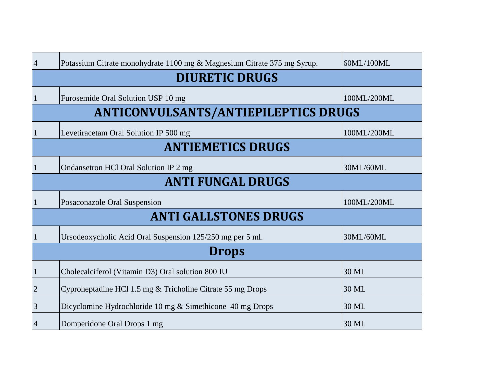| $\overline{4}$                              | Potassium Citrate monohydrate 1100 mg & Magnesium Citrate 375 mg Syrup. | 60ML/100ML  |
|---------------------------------------------|-------------------------------------------------------------------------|-------------|
| <b>DIURETIC DRUGS</b>                       |                                                                         |             |
| $\mathbf{1}$                                | Furosemide Oral Solution USP 10 mg                                      | 100ML/200ML |
| <b>ANTICONVULSANTS/ANTIEPILEPTICS DRUGS</b> |                                                                         |             |
| $\mathbf 1$                                 | Levetiracetam Oral Solution IP 500 mg                                   | 100ML/200ML |
| <b>ANTIEMETICS DRUGS</b>                    |                                                                         |             |
| 1                                           | Ondansetron HCl Oral Solution IP 2 mg                                   | 30ML/60ML   |
|                                             | <b>ANTI FUNGAL DRUGS</b>                                                |             |
| 1                                           | Posaconazole Oral Suspension                                            | 100ML/200ML |
|                                             | <b>ANTI GALLSTONES DRUGS</b>                                            |             |
| $\mathbf 1$                                 | Ursodeoxycholic Acid Oral Suspension 125/250 mg per 5 ml.               | 30ML/60ML   |
| <b>Drops</b>                                |                                                                         |             |
| $\mathbf{1}$                                | Cholecalciferol (Vitamin D3) Oral solution 800 IU                       | 30 ML       |
| $\overline{2}$                              | Cyproheptadine HCl 1.5 mg & Tricholine Citrate 55 mg Drops              | 30 ML       |
| 3                                           | Dicyclomine Hydrochloride 10 mg & Simethicone 40 mg Drops               | 30 ML       |
| $\overline{4}$                              | Domperidone Oral Drops 1 mg                                             | 30 ML       |